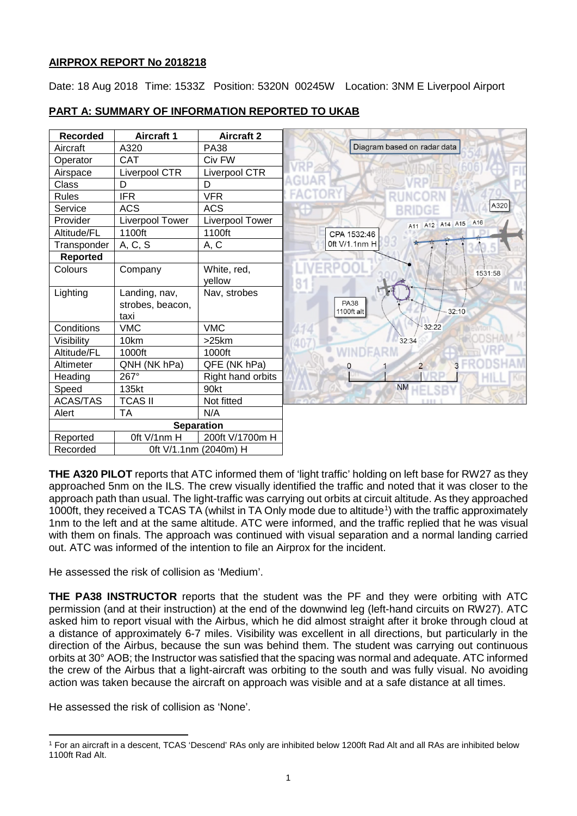# **AIRPROX REPORT No 2018218**

Date: 18 Aug 2018 Time: 1533Z Position: 5320N 00245W Location: 3NM E Liverpool Airport

| <b>Recorded</b> | <b>Aircraft 1</b>                         | <b>Aircraft 2</b>     |                                    |
|-----------------|-------------------------------------------|-----------------------|------------------------------------|
| Aircraft        | A320                                      | <b>PA38</b>           | Diagram based on radar data        |
| Operator        | <b>CAT</b>                                | Civ FW                |                                    |
| Airspace        | <b>Liverpool CTR</b>                      | Liverpool CTR         |                                    |
| Class           | D                                         | D                     |                                    |
| <b>Rules</b>    | <b>IFR</b>                                | <b>VFR</b>            |                                    |
| Service         | <b>ACS</b>                                | <b>ACS</b>            | A320                               |
| Provider        | Liverpool Tower                           | Liverpool Tower       | A16<br>A12 A14 A15<br>A11          |
| Altitude/FL     | 1100ft                                    | 1100ft                | CPA 1532:46                        |
| Transponder     | A, C, S                                   | A, C                  | 0ft V/1.1nm H                      |
| <b>Reported</b> |                                           |                       |                                    |
| Colours         | Company                                   | White, red,<br>yellow | 1531:58                            |
| Lighting        | Landing, nav,<br>strobes, beacon,<br>taxi | Nav, strobes          | <b>PA38</b><br>1100ft alt<br>32:10 |
| Conditions      | <b>VMC</b>                                | <b>VMC</b>            | 32:22                              |
| Visibility      | 10km                                      | >25km                 | 32:34                              |
| Altitude/FL     | 1000ft                                    | 1000ft                |                                    |
| Altimeter       | QNH (NK hPa)                              | QFE (NK hPa)          | $\overline{2}$<br>Ω                |
| Heading         | 267°                                      | Right hand orbits     |                                    |
| Speed           | 135kt                                     | 90kt                  | <b>NM</b>                          |
| ACAS/TAS        | <b>TCAS II</b>                            | Not fitted            |                                    |
| Alert           | <b>TA</b>                                 | N/A                   |                                    |
|                 |                                           | <b>Separation</b>     |                                    |
| Reported        | Oft V/1nm H                               | 200ft V/1700m H       |                                    |
| Recorded        | 0ft V/1.1nm (2040m) H                     |                       |                                    |

# **PART A: SUMMARY OF INFORMATION REPORTED TO UKAB**

**THE A320 PILOT** reports that ATC informed them of 'light traffic' holding on left base for RW27 as they approached 5nm on the ILS. The crew visually identified the traffic and noted that it was closer to the approach path than usual. The light-traffic was carrying out orbits at circuit altitude. As they approached [1](#page-0-0)000ft, they received a TCAS TA (whilst in TA Only mode due to altitude<sup>1</sup>) with the traffic approximately 1nm to the left and at the same altitude. ATC were informed, and the traffic replied that he was visual with them on finals. The approach was continued with visual separation and a normal landing carried out. ATC was informed of the intention to file an Airprox for the incident.

He assessed the risk of collision as 'Medium'.

**THE PA38 INSTRUCTOR** reports that the student was the PF and they were orbiting with ATC permission (and at their instruction) at the end of the downwind leg (left-hand circuits on RW27). ATC asked him to report visual with the Airbus, which he did almost straight after it broke through cloud at a distance of approximately 6-7 miles. Visibility was excellent in all directions, but particularly in the direction of the Airbus, because the sun was behind them. The student was carrying out continuous orbits at 30° AOB; the Instructor was satisfied that the spacing was normal and adequate. ATC informed the crew of the Airbus that a light-aircraft was orbiting to the south and was fully visual. No avoiding action was taken because the aircraft on approach was visible and at a safe distance at all times.

He assessed the risk of collision as 'None'.

l

<span id="page-0-0"></span><sup>1</sup> For an aircraft in a descent, TCAS 'Descend' RAs only are inhibited below 1200ft Rad Alt and all RAs are inhibited below 1100ft Rad Alt.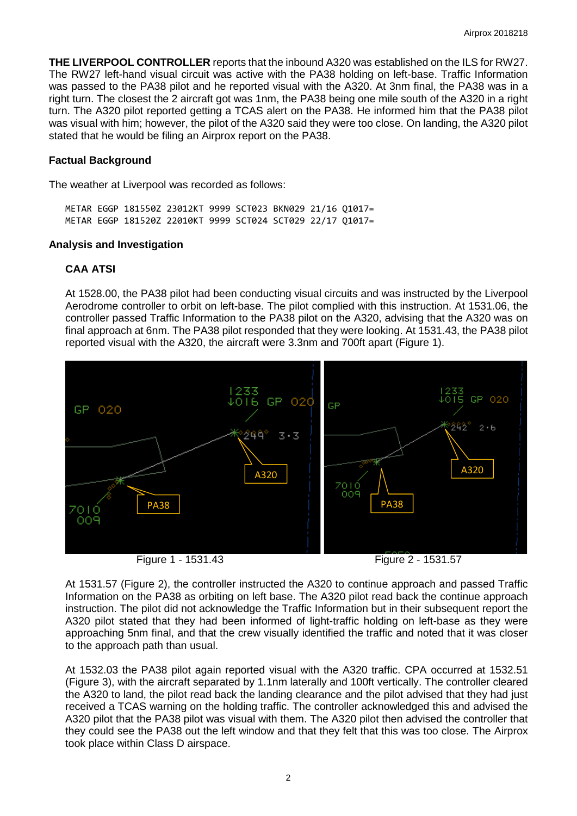**THE LIVERPOOL CONTROLLER** reports that the inbound A320 was established on the ILS for RW27. The RW27 left-hand visual circuit was active with the PA38 holding on left-base. Traffic Information was passed to the PA38 pilot and he reported visual with the A320. At 3nm final, the PA38 was in a right turn. The closest the 2 aircraft got was 1nm, the PA38 being one mile south of the A320 in a right turn. The A320 pilot reported getting a TCAS alert on the PA38. He informed him that the PA38 pilot was visual with him; however, the pilot of the A320 said they were too close. On landing, the A320 pilot stated that he would be filing an Airprox report on the PA38.

### **Factual Background**

The weather at Liverpool was recorded as follows:

METAR EGGP 181550Z 23012KT 9999 SCT023 BKN029 21/16 Q1017= METAR EGGP 181520Z 22010KT 9999 SCT024 SCT029 22/17 Q1017=

#### **Analysis and Investigation**

### **CAA ATSI**

At 1528.00, the PA38 pilot had been conducting visual circuits and was instructed by the Liverpool Aerodrome controller to orbit on left-base. The pilot complied with this instruction. At 1531.06, the controller passed Traffic Information to the PA38 pilot on the A320, advising that the A320 was on final approach at 6nm. The PA38 pilot responded that they were looking. At 1531.43, the PA38 pilot reported visual with the A320, the aircraft were 3.3nm and 700ft apart (Figure 1).



At 1531.57 (Figure 2), the controller instructed the A320 to continue approach and passed Traffic Information on the PA38 as orbiting on left base. The A320 pilot read back the continue approach instruction. The pilot did not acknowledge the Traffic Information but in their subsequent report the A320 pilot stated that they had been informed of light-traffic holding on left-base as they were approaching 5nm final, and that the crew visually identified the traffic and noted that it was closer to the approach path than usual.

At 1532.03 the PA38 pilot again reported visual with the A320 traffic. CPA occurred at 1532.51 (Figure 3), with the aircraft separated by 1.1nm laterally and 100ft vertically. The controller cleared the A320 to land, the pilot read back the landing clearance and the pilot advised that they had just received a TCAS warning on the holding traffic. The controller acknowledged this and advised the A320 pilot that the PA38 pilot was visual with them. The A320 pilot then advised the controller that they could see the PA38 out the left window and that they felt that this was too close. The Airprox took place within Class D airspace.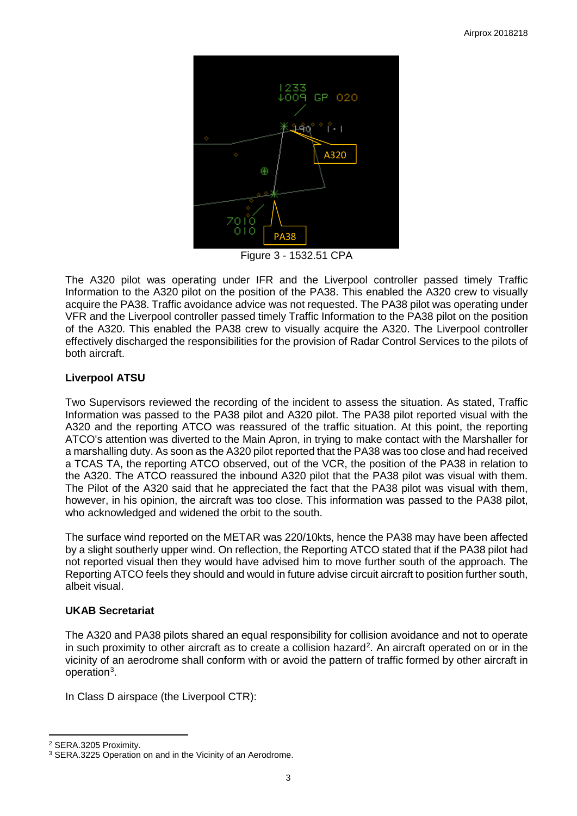

Figure 3 - 1532.51 CPA

The A320 pilot was operating under IFR and the Liverpool controller passed timely Traffic Information to the A320 pilot on the position of the PA38. This enabled the A320 crew to visually acquire the PA38. Traffic avoidance advice was not requested. The PA38 pilot was operating under VFR and the Liverpool controller passed timely Traffic Information to the PA38 pilot on the position of the A320. This enabled the PA38 crew to visually acquire the A320. The Liverpool controller effectively discharged the responsibilities for the provision of Radar Control Services to the pilots of both aircraft.

# **Liverpool ATSU**

Two Supervisors reviewed the recording of the incident to assess the situation. As stated, Traffic Information was passed to the PA38 pilot and A320 pilot. The PA38 pilot reported visual with the A320 and the reporting ATCO was reassured of the traffic situation. At this point, the reporting ATCO's attention was diverted to the Main Apron, in trying to make contact with the Marshaller for a marshalling duty. As soon as the A320 pilot reported that the PA38 was too close and had received a TCAS TA, the reporting ATCO observed, out of the VCR, the position of the PA38 in relation to the A320. The ATCO reassured the inbound A320 pilot that the PA38 pilot was visual with them. The Pilot of the A320 said that he appreciated the fact that the PA38 pilot was visual with them, however, in his opinion, the aircraft was too close. This information was passed to the PA38 pilot, who acknowledged and widened the orbit to the south.

The surface wind reported on the METAR was 220/10kts, hence the PA38 may have been affected by a slight southerly upper wind. On reflection, the Reporting ATCO stated that if the PA38 pilot had not reported visual then they would have advised him to move further south of the approach. The Reporting ATCO feels they should and would in future advise circuit aircraft to position further south, albeit visual.

# **UKAB Secretariat**

The A320 and PA38 pilots shared an equal responsibility for collision avoidance and not to operate in such proximity to other aircraft as to create a collision hazard<sup>[2](#page-2-0)</sup>. An aircraft operated on or in the vicinity of an aerodrome shall conform with or avoid the pattern of traffic formed by other aircraft in operation<sup>[3](#page-2-1)</sup>.

In Class D airspace (the Liverpool CTR):

l

<span id="page-2-0"></span><sup>2</sup> SERA.3205 Proximity.

<span id="page-2-1"></span><sup>&</sup>lt;sup>3</sup> SERA.3225 Operation on and in the Vicinity of an Aerodrome.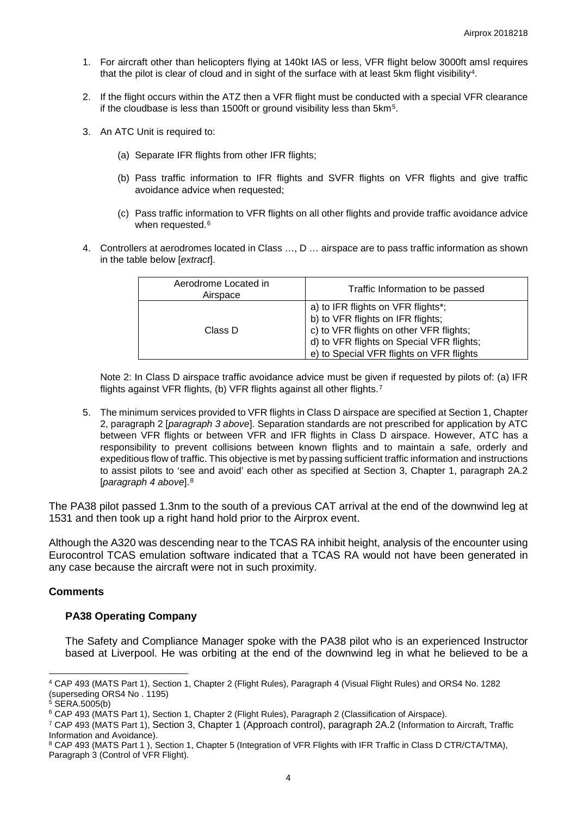- 1. For aircraft other than helicopters flying at 140kt IAS or less, VFR flight below 3000ft amsl requires that the pilot is clear of cloud and in sight of the surface with at least 5km flight visibility[4.](#page-3-0)
- 2. If the flight occurs within the ATZ then a VFR flight must be conducted with a special VFR clearance if the cloudbase is less than 1500ft or ground visibility less than 5km[5](#page-3-1).
- 3. An ATC Unit is required to:
	- (a) Separate IFR flights from other IFR flights;
	- (b) Pass traffic information to IFR flights and SVFR flights on VFR flights and give traffic avoidance advice when requested;
	- (c) Pass traffic information to VFR flights on all other flights and provide traffic avoidance advice when requested.<sup>[6](#page-3-2)</sup>
- 4. Controllers at aerodromes located in Class …, D … airspace are to pass traffic information as shown in the table below [*extract*].

| Aerodrome Located in<br>Airspace | Traffic Information to be passed                                                                                                                                                                            |
|----------------------------------|-------------------------------------------------------------------------------------------------------------------------------------------------------------------------------------------------------------|
| Class D                          | a) to IFR flights on VFR flights*;<br>b) to VFR flights on IFR flights;<br>c) to VFR flights on other VFR flights;<br>d) to VFR flights on Special VFR flights;<br>e) to Special VFR flights on VFR flights |

Note 2: In Class D airspace traffic avoidance advice must be given if requested by pilots of: (a) IFR flights against VFR flights, (b) VFR flights against all other flights.[7](#page-3-3)

5. The minimum services provided to VFR flights in Class D airspace are specified at Section 1, Chapter 2, paragraph 2 [*paragraph 3 above*]. Separation standards are not prescribed for application by ATC between VFR flights or between VFR and IFR flights in Class D airspace. However, ATC has a responsibility to prevent collisions between known flights and to maintain a safe, orderly and expeditious flow of traffic. This objective is met by passing sufficient traffic information and instructions to assist pilots to 'see and avoid' each other as specified at Section 3, Chapter 1, paragraph 2A.2 [*paragraph 4 above*].[8](#page-3-4)

The PA38 pilot passed 1.3nm to the south of a previous CAT arrival at the end of the downwind leg at 1531 and then took up a right hand hold prior to the Airprox event.

Although the A320 was descending near to the TCAS RA inhibit height, analysis of the encounter using Eurocontrol TCAS emulation software indicated that a TCAS RA would not have been generated in any case because the aircraft were not in such proximity.

### **Comments**

### **PA38 Operating Company**

The Safety and Compliance Manager spoke with the PA38 pilot who is an experienced Instructor based at Liverpool. He was orbiting at the end of the downwind leg in what he believed to be a

<span id="page-3-0"></span> $\overline{\phantom{a}}$ <sup>4</sup> CAP 493 (MATS Part 1), Section 1, Chapter 2 (Flight Rules), Paragraph 4 (Visual Flight Rules) and ORS4 No. 1282 (superseding ORS4 No . 1195)

<span id="page-3-1"></span> $5$  SERA.5005(b)

<span id="page-3-2"></span><sup>6</sup> CAP 493 (MATS Part 1), Section 1, Chapter 2 (Flight Rules), Paragraph 2 (Classification of Airspace).

<span id="page-3-3"></span><sup>7</sup> CAP 493 (MATS Part 1), Section 3, Chapter 1 (Approach control), paragraph 2A.2 (Information to Aircraft, Traffic Information and Avoidance).

<span id="page-3-4"></span><sup>8</sup> CAP 493 (MATS Part 1 ), Section 1, Chapter 5 (Integration of VFR Flights with IFR Traffic in Class D CTR/CTA/TMA), Paragraph 3 (Control of VFR Flight).